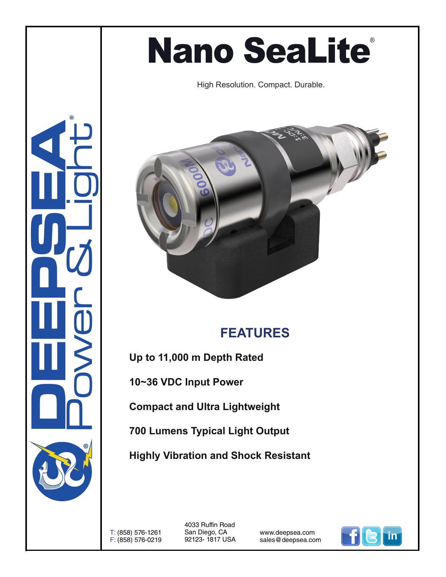## **Nano SeaLite®**

High Resolution. Compact. Durable.



## **FEATURES**

**Up to 11,000 m Depth Rated** 

**10~36 VDC Input Power**

**Compact and Ultra Lightweight** 

**700 Lumens Typical Light Output** 

**Highly Vibration and Shock Resistant**

T: (858) 576-1261 F: (858) 576-0219 4033 Ruffin Road San Diego, CA 92123- 1817 USA

www.deepsea.com sales@deepsea.com



**CONSUMERING** Power & Light ®